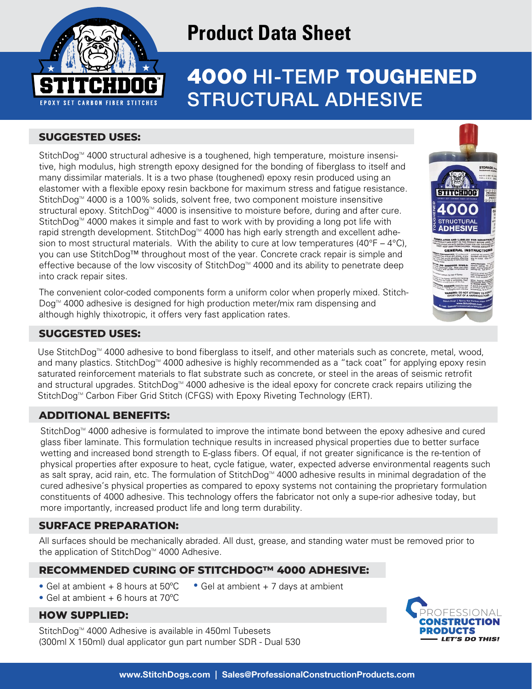

# **Product Data Sheet**

# PRODUCT DESCRIPTION 4000 HI-TEMP TOUGHENED STRUCTURAL ADHESIVE

# **SUGGESTED USES:**

StitchDog<sup>™</sup> 4000 structural adhesive is a toughened, high temperature, moisture insensitive, high modulus, high strength epoxy designed for the bonding of fiberglass to itself and many dissimilar materials. It is a two phase (toughened) epoxy resin produced using an elastomer with a flexible epoxy resin backbone for maximum stress and fatigue resistance. StitchDog<sup>™</sup> 4000 is a 100% solids, solvent free, two component moisture insensitive structural epoxy. StitchDog<sup>™</sup> 4000 is insensitive to moisture before, during and after cure. StitchDog<sup> $M$ </sup> 4000 makes it simple and fast to work with by providing a long pot life with rapid strength development. StitchDog™ 4000 has high early strength and excellent adhesion to most structural materials. With the ability to cure at low temperatures (40°F – 4°C), you can use StitchDog™ throughout most of the year. Concrete crack repair is simple and effective because of the low viscosity of StitchDog<sup> $M$ </sup> 4000 and its ability to penetrate deep into crack repair sites.

The convenient color-coded components form a uniform color when properly mixed. Stitch- $Doq<sup>™</sup>$  4000 adhesive is designed for high production meter/mix ram dispensing and although highly thixotropic, it offers very fast application rates.



# **SUGGESTED USES:**

Use StitchDog<sup>™</sup> 4000 adhesive to bond fiberglass to itself, and other materials such as concrete, metal, wood, and many plastics. StitchDog<sup>™</sup> 4000 adhesive is highly recommended as a "tack coat" for applying epoxy resin saturated reinforcement materials to flat substrate such as concrete, or steel in the areas of seismic retrofit and structural upgrades. StitchDog<sup>M</sup> 4000 adhesive is the ideal epoxy for concrete crack repairs utilizing the StitchDog<sup>™</sup> Carbon Fiber Grid Stitch (CFGS) with Epoxy Riveting Technology (ERT).

# **ADDITIONAL BENEFITS:**

StitchDog<sup>™</sup> 4000 adhesive is formulated to improve the intimate bond between the epoxy adhesive and cured glass fiber laminate. This formulation technique results in increased physical properties due to better surface wetting and increased bond strength to E-glass fibers. Of equal, if not greater significance is the re-tention of physical properties after exposure to heat, cycle fatigue, water, expected adverse environmental reagents such as salt spray, acid rain, etc. The formulation of StitchDog™ 4000 adhesive results in minimal degradation of the cured adhesive's physical properties as compared to epoxy systems not containing the proprietary formulation constituents of 4000 adhesive. This technology offers the fabricator not only a supe-rior adhesive today, but more importantly, increased product life and long term durability.

# **SURFACE PREPARATION:**

All surfaces should be mechanically abraded. All dust, grease, and standing water must be removed prior to the application of StitchDog<sup> $M$ </sup> 4000 Adhesive.

# **RECOMMENDED CURING OF STITCHDOG™ 4000 ADHESIVE:**

- Gel at ambient + 8 hours at 50°C • Gel at ambient  $+7$  days at ambient
- Gel at ambient  $+6$  hours at  $70^{\circ}$ C

## HOW SUPPLIED:

StitchDog<sup>™</sup> 4000 Adhesive is available in 450ml Tubesets (300ml X 150ml) dual applicator gun part number SDR - Dual 530